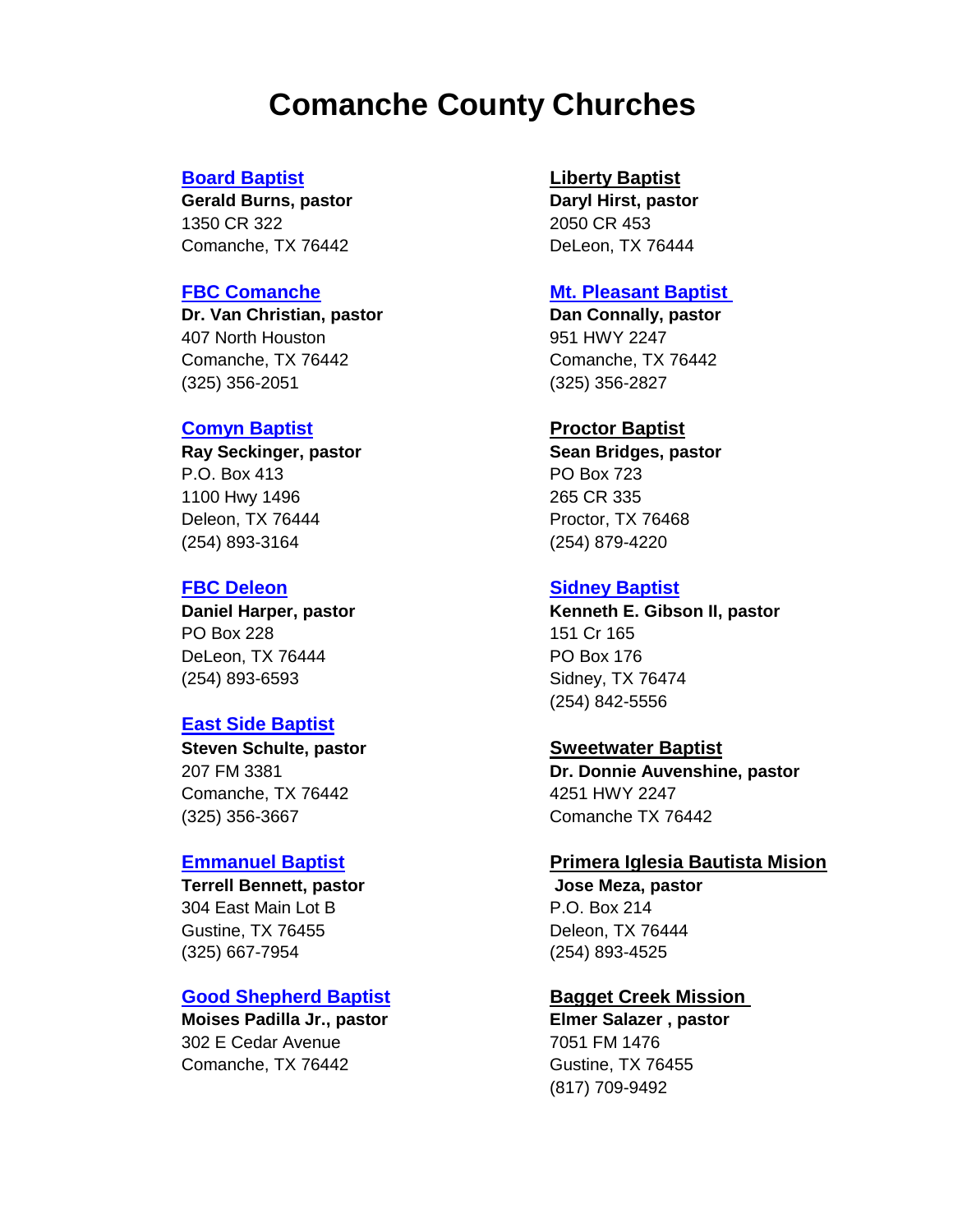## **Comanche County Churches**

1350 CR 322 2050 CR 453 Comanche, TX 76442 DeLeon, TX 76444

**Dr. Van Christian, pastor Dan Connally, pastor** 407 North Houston 951 HWY 2247 [Comanche, TX 76442](http://www.fbccomanche.com/) Comanche, TX 76442 (325) 356-2051 (325) 356-2827

### **[Comyn Baptist](https://www.facebook.com/comynbaptistchurch/) Proctor Baptist**

P.O. Box 413 PO Box 723 1100 Hwy 1496 265 CR 335 Deleon, TX 76444 **Proctor**, TX 76468 (254) 893-3164 (254) 879-4220

PO Box 228 151 Cr 165 DeLeon, TX 76444 PO Box 176 (254) 893-6593 Sidney, TX 76474

### **[East Side Baptist](http://www.esbccomanche.com/)**

**Steven Schulte, pastor Sweetwater Baptist** Comanche, TX 76442 4251 HWY 2247 (325) 356-3667 Comanche TX 76442

304 East Main Lot B **P.O. Box 214** Gustine, TX 76455 Deleon, TX 76444 (325) 667-7954 (254) 893-4525

### **[Good Shepherd Baptist](https://www.facebook.com/pages/Good-Shepherd-Baptist-Church/116198755066926) Bagget Creek Mission**

**Moises Padilla Jr., pastor Elmer Salazer , pastor** 302 E Cedar Avenue 7051 FM 1476 Comanche, TX 76442 Gustine, TX 76455

### **[Board Baptist](https://www.facebook.com/pages/Board-Baptist-Church/322811511217590) Liberty Baptist**

**Gerald Burns, pastor Daryl Hirst, pastor**

### **[FBC Comanche](http://www.fbccomanche.com/) [Mt. Pleasant Baptist](https://www.facebook.com/pages/category/Religious-Organization/Mt-Pleasant-Baptist-Church-222332527802941/)**

**Ray Seckinger, pastor Sean Bridges, pastor**

### **[FBC Deleon](http://fbcdeleon.org/) [Sidney Baptist](https://www.facebook.com/pages/Sidney-Baptist-Church/375893909130187)**

**Daniel Harper, pastor Kenneth E. Gibson II, pastor** (254) 842-5556

207 FM 3381 **Dr. Donnie Auvenshine, pastor**

### **[Emmanuel Baptist](https://www.facebook.com/firstbaptistchurchgustine/?rf=201523649859818) Primera Iglesia Bautista Mision**

**Terrell Bennett, pastor Community Community Serverse Serverse Meza, pastor** 

(817) 709-9492